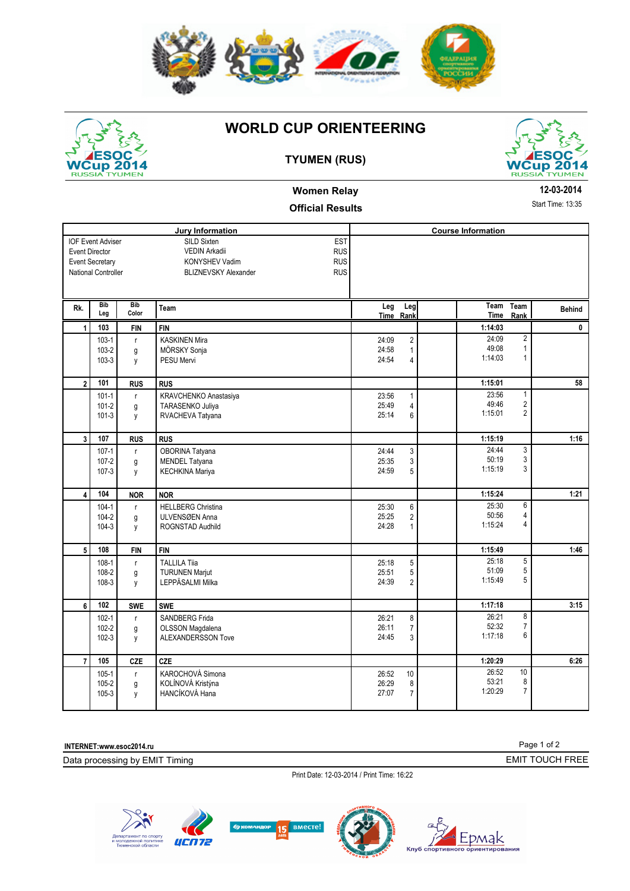



IOF Event Adviser

Event Secretary Event Director

**Rk. Bib** 

National Controller

SILD Sixten

### **WORLD CUP ORIENTEERING**





### **Women Relay**

#### **Official Results**

**Jury Information Course Information** 

EST

|                | ent Director<br>ent Secretary<br>tional Controller |                        | <b>RUS</b><br><b>VEDIN Arkadii</b><br><b>RUS</b><br><b>KONYSHEV Vadim</b><br><b>RUS</b><br><b>BLIZNEVSKY Alexander</b> |                         |                          |                           |                                                           |               |
|----------------|----------------------------------------------------|------------------------|------------------------------------------------------------------------------------------------------------------------|-------------------------|--------------------------|---------------------------|-----------------------------------------------------------|---------------|
| łk.            | <b>Bib</b><br>Leg                                  | <b>Bib</b><br>Color    | Team                                                                                                                   | Leg                     | Leg<br>Time Rank         | Team<br>Time              | Team<br>Rank                                              | <b>Behind</b> |
| $\mathbf{1}$   | 103                                                | <b>FIN</b>             | <b>FIN</b>                                                                                                             |                         |                          | 1:14:03                   |                                                           | C             |
|                | $103-1$<br>$103 - 2$<br>$103-3$                    | $\mathsf{r}$<br>g<br>y | <b>KASKINEN Mira</b><br>MÖRSKY Sonja<br><b>PESU Mervi</b>                                                              | 24:09<br>24:58<br>24:54 | $\overline{2}$<br>4      | 24:09<br>49:08<br>1:14:03 | $\overline{2}$<br>1<br>1                                  |               |
| $\overline{2}$ | 101                                                | <b>RUS</b>             | <b>RUS</b>                                                                                                             |                         |                          | 1:15:01                   |                                                           | 58            |
|                | $101 - 1$<br>$101 - 2$<br>$101-3$                  | $\mathsf{r}$<br>g<br>y | KRAVCHENKO Anastasiya<br>TARASENKO Juliya<br>RVACHEVA Tatyana                                                          | 23:56<br>25:49<br>25:14 | 1<br>4<br>6              | 23:56<br>49:46<br>1:15:01 | $\mathbf{1}$<br>$\overline{\mathbf{c}}$<br>$\overline{2}$ |               |
| 3              | 107                                                | <b>RUS</b>             | <b>RUS</b>                                                                                                             |                         |                          | 1:15:19                   |                                                           | 1:16          |
|                | $107 - 1$<br>$107 - 2$<br>$107 - 3$                | r<br>g<br>y            | OBORINA Tatyana<br><b>MENDEL Tatyana</b><br><b>KECHKINA Mariya</b>                                                     | 24:44<br>25:35<br>24:59 | 3<br>3<br>5              | 24:44<br>50:19<br>1:15:19 | 3<br>3<br>3                                               |               |
| 4              | 104                                                | <b>NOR</b>             | <b>NOR</b>                                                                                                             |                         |                          | 1:15:24                   |                                                           | 1:21          |
|                | $104 - 1$<br>$104 - 2$<br>$104-3$                  | r<br>g<br>y            | <b>HELLBERG Christina</b><br>ULVENSØEN Anna<br><b>ROGNSTAD Audhild</b>                                                 | 25:30<br>25:25<br>24:28 | 6<br>2<br>1              | 25:30<br>50:56<br>1:15:24 | 6<br>4<br>4                                               |               |
| 5              | 108                                                | <b>FIN</b>             | <b>FIN</b>                                                                                                             |                         |                          | 1:15:49                   |                                                           | 1:46          |
|                | $108 - 1$<br>108-2<br>108-3                        | $\mathsf{r}$<br>g<br>y | <b>TALLILA Tija</b><br><b>TURUNEN Marjut</b><br>LEPPÄSALMI Milka                                                       | 25:18<br>25:51<br>24:39 | 5<br>5<br>$\overline{2}$ | 25:18<br>51:09<br>1:15:49 | 5<br>5<br>5                                               |               |
| 6              | 102                                                | <b>SWE</b>             | <b>SWE</b>                                                                                                             |                         |                          | 1:17:18                   |                                                           | 3:15          |
|                | $102 - 1$<br>$102 - 2$                             | r<br>g                 | <b>SANDBERG Frida</b><br>OLSSON Magdalena                                                                              | 26:21<br>26:11          | 8<br>$\overline{7}$      | 26:21<br>52:32            | 8<br>$\overline{7}$                                       |               |

**INTERNET:www.esoc2014.ru** 

Data processing by EMIT Timing

105-3 y HANCÍKOVÁ Hana

Print Date: 12-03-2014 / Print Time: 16:22

 **7 CZE 105 CZE 1:20:29 6:26**

 $24:45$ 

26:52 26:29



102-3 y ALEXANDERSSON Tove 3 3

105-1 r KAROCHOVÁ Simona 105-2000 m (\* 105-2000)<br>105-2 g KOLÍNOVÁ Kristýna 105-2000 m (\* 105-2000) g KOLÍNOVÁ Kristýna (\* 105.2008)<br>105.27.07 g HANCÍKOVÁ Hana (\* 105.27.07 g 10.27.07 g 10.27.07 g 10.27.07 g 10.27.07 g 10.27.07 g 10.27.07 g 1



24:45 3 1:17:18 6

27:07 7 1:20:29 7

26:52 53:21 8 10

Page 1 of 2

EMIT TOUCH FREE

**12-03-2014**

Start Time: 13:35